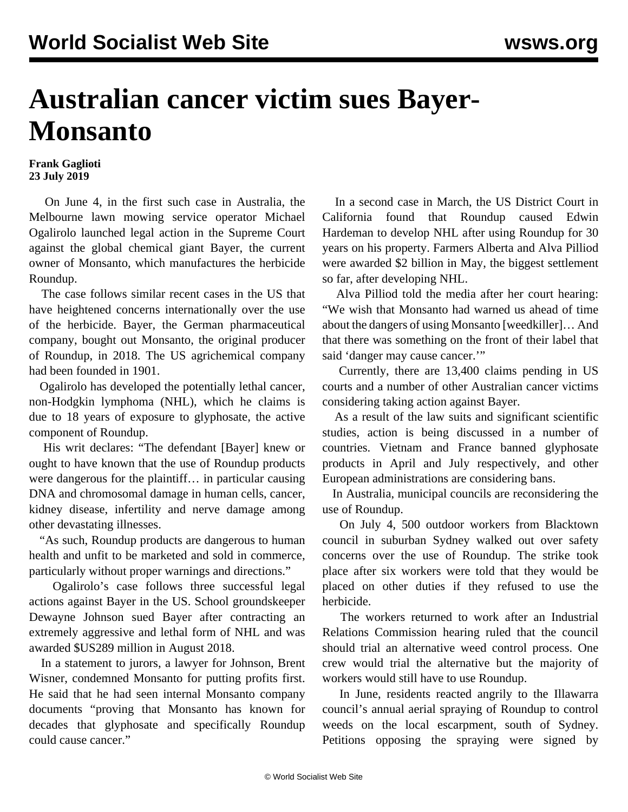## **Australian cancer victim sues Bayer-Monsanto**

## **Frank Gaglioti 23 July 2019**

 On June 4, in the first such case in Australia, the Melbourne lawn mowing service operator Michael Ogalirolo launched legal action in the Supreme Court against the global chemical giant Bayer, the current owner of Monsanto, which manufactures the herbicide Roundup.

 The case follows similar recent cases in the US that have heightened concerns internationally over the use of the herbicide. Bayer, the German pharmaceutical company, bought out Monsanto, the original producer of Roundup, in 2018. The US agrichemical company had been founded in 1901.

 Ogalirolo has developed the potentially lethal cancer, non-Hodgkin lymphoma (NHL), which he claims is due to 18 years of exposure to glyphosate, the active component of Roundup.

 His writ declares: "The defendant [Bayer] knew or ought to have known that the use of Roundup products were dangerous for the plaintiff… in particular causing DNA and chromosomal damage in human cells, cancer, kidney disease, infertility and nerve damage among other devastating illnesses.

 "As such, Roundup products are dangerous to human health and unfit to be marketed and sold in commerce, particularly without proper warnings and directions."

 Ogalirolo's case follows three successful legal actions against Bayer in the US. School groundskeeper Dewayne Johnson sued Bayer after contracting an extremely aggressive and lethal form of NHL and was awarded \$US289 million in August 2018.

 In a statement to jurors, a lawyer for Johnson, Brent Wisner, condemned Monsanto for putting profits first. He said that he had seen internal Monsanto company documents "proving that Monsanto has known for decades that glyphosate and specifically Roundup could cause cancer."

 In a second case in March, the US District Court in California found that Roundup caused Edwin Hardeman to develop NHL after using Roundup for 30 years on his property. Farmers Alberta and Alva Pilliod were awarded \$2 billion in May, the biggest settlement so far, after developing NHL.

 Alva Pilliod told the media after her court hearing: "We wish that Monsanto had warned us ahead of time about the dangers of using Monsanto [weedkiller]… And that there was something on the front of their label that said 'danger may cause cancer.'"

 Currently, there are 13,400 claims pending in US courts and a number of other Australian cancer victims considering taking action against Bayer.

 As a result of the law suits and significant scientific studies, action is being discussed in a number of countries. Vietnam and France banned glyphosate products in April and July respectively, and other European administrations are considering bans.

 In Australia, municipal councils are reconsidering the use of Roundup.

 On July 4, 500 outdoor workers from Blacktown council in suburban Sydney walked out over safety concerns over the use of Roundup. The strike took place after six workers were told that they would be placed on other duties if they refused to use the herbicide.

 The workers returned to work after an Industrial Relations Commission hearing ruled that the council should trial an alternative weed control process. One crew would trial the alternative but the majority of workers would still have to use Roundup.

 In June, residents reacted angrily to the Illawarra council's annual aerial spraying of Roundup to control weeds on the local escarpment, south of Sydney. Petitions opposing the spraying were signed by